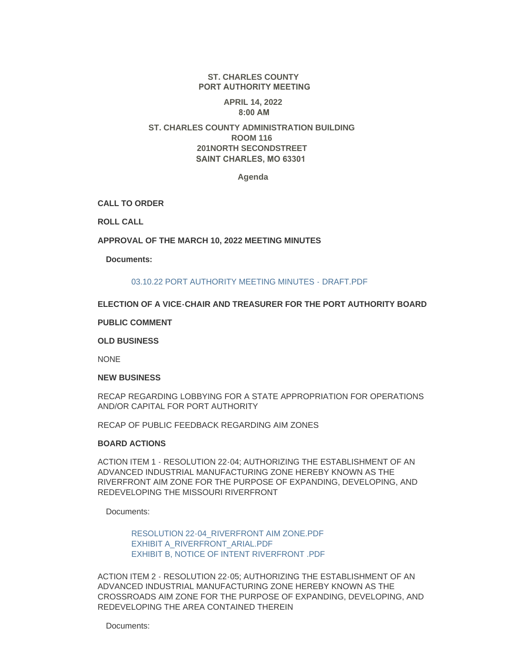## **ST. CHARLES COUNTY PORT AUTHORITY MEETING**

#### **APRIL 14, 2022 8:00 AM**

# **ST. CHARLES COUNTY ADMINISTRATION BUILDING ROOM 116 201NORTH SECONDSTREET SAINT CHARLES, MO 63301**

**Agenda**

**CALL TO ORDER**

**ROLL CALL**

### **APPROVAL OF THE MARCH 10, 2022 MEETING MINUTES**

**Documents:**

### [03.10.22 PORT AUTHORITY MEETING MINUTES - DRAFT.PDF](https://www.sccmo.org/AgendaCenter/ViewFile/Item/10827?fileID=31958)

# **ELECTION OF A VICE-CHAIR AND TREASURER FOR THE PORT AUTHORITY BOARD**

### **PUBLIC COMMENT**

#### **OLD BUSINESS**

**NONE** 

## **NEW BUSINESS**

RECAP REGARDING LOBBYING FOR A STATE APPROPRIATION FOR OPERATIONS AND/OR CAPITAL FOR PORT AUTHORITY

RECAP OF PUBLIC FEEDBACK REGARDING AIM ZONES

### **BOARD ACTIONS**

ACTION ITEM 1 - RESOLUTION 22-04; AUTHORIZING THE ESTABLISHMENT OF AN ADVANCED INDUSTRIAL MANUFACTURING ZONE HEREBY KNOWN AS THE RIVERFRONT AIM ZONE FOR THE PURPOSE OF EXPANDING, DEVELOPING, AND REDEVELOPING THE MISSOURI RIVERFRONT

Documents:

[RESOLUTION 22-04\\_RIVERFRONT AIM ZONE.PDF](https://www.sccmo.org/AgendaCenter/ViewFile/Item/10824?fileID=31962) [EXHIBIT A\\_RIVERFRONT\\_ARIAL.PDF](https://www.sccmo.org/AgendaCenter/ViewFile/Item/10824?fileID=31963) [EXHIBIT B, NOTICE OF INTENT RIVERFRONT .PDF](https://www.sccmo.org/AgendaCenter/ViewFile/Item/10824?fileID=31964)

ACTION ITEM 2 - RESOLUTION 22-05; AUTHORIZING THE ESTABLISHMENT OF AN ADVANCED INDUSTRIAL MANUFACTURING ZONE HEREBY KNOWN AS THE CROSSROADS AIM ZONE FOR THE PURPOSE OF EXPANDING, DEVELOPING, AND REDEVELOPING THE AREA CONTAINED THEREIN

Documents: